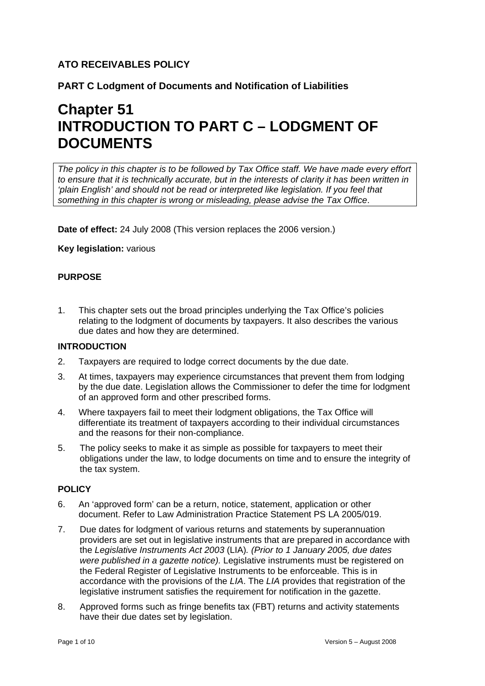# **ATO RECEIVABLES POLICY**

# **PART C Lodgment of Documents and Notification of Liabilities**

# **Chapter 51 INTRODUCTION TO PART C – LODGMENT OF DOCUMENTS**

*The policy in this chapter is to be followed by Tax Office staff. We have made every effort to ensure that it is technically accurate, but in the interests of clarity it has been written in 'plain English' and should not be read or interpreted like legislation. If you feel that something in this chapter is wrong or misleading, please advise the Tax Office*.

**Date of effect:** 24 July 2008 (This version replaces the 2006 version.)

**Key legislation:** various

# **PURPOSE**

1. This chapter sets out the broad principles underlying the Tax Office's policies relating to the lodgment of documents by taxpayers. It also describes the various due dates and how they are determined.

# **INTRODUCTION**

- 2. Taxpayers are required to lodge correct documents by the due date.
- 3. At times, taxpayers may experience circumstances that prevent them from lodging by the due date. Legislation allows the Commissioner to defer the time for lodgment of an approved form and other prescribed forms.
- 4. Where taxpayers fail to meet their lodgment obligations, the Tax Office will differentiate its treatment of taxpayers according to their individual circumstances and the reasons for their non-compliance.
- 5. The policy seeks to make it as simple as possible for taxpayers to meet their obligations under the law, to lodge documents on time and to ensure the integrity of the tax system.

#### **POLICY**

- 6. An 'approved form' can be a return, notice, statement, application or other document. Refer to Law Administration Practice Statement PS LA 2005/019.
- 7. Due dates for lodgment of various returns and statements by superannuation providers are set out in legislative instruments that are prepared in accordance with the *Legislative Instruments Act 2003* (LIA)*. (Prior to 1 January 2005, due dates were published in a gazette notice).* Legislative instruments must be registered on the Federal Register of Legislative Instruments to be enforceable. This is in accordance with the provisions of the *LIA*. The *LIA* provides that registration of the legislative instrument satisfies the requirement for notification in the gazette.
- 8. Approved forms such as fringe benefits tax (FBT) returns and activity statements have their due dates set by legislation.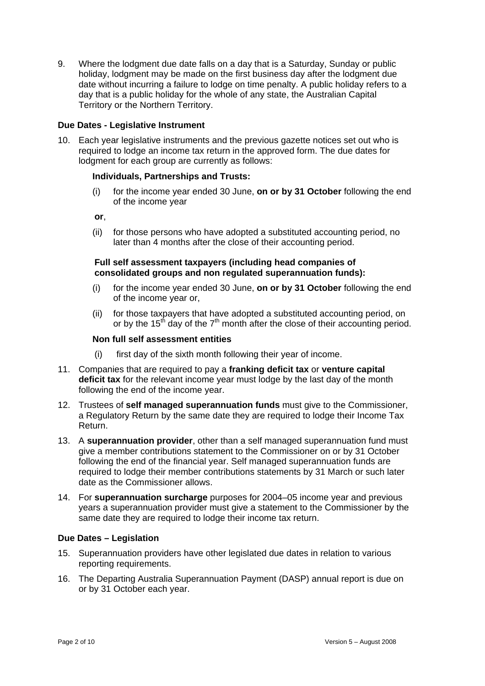9. Where the lodgment due date falls on a day that is a Saturday, Sunday or public holiday, lodgment may be made on the first business day after the lodgment due date without incurring a failure to lodge on time penalty. A public holiday refers to a day that is a public holiday for the whole of any state, the Australian Capital Territory or the Northern Territory.

## **Due Dates - Legislative Instrument**

10. Each year legislative instruments and the previous gazette notices set out who is required to lodge an income tax return in the approved form. The due dates for lodgment for each group are currently as follows:

#### **Individuals, Partnerships and Trusts:**

(i) for the income year ended 30 June, **on or by 31 October** following the end of the income year

**or**,

(ii) for those persons who have adopted a substituted accounting period, no later than 4 months after the close of their accounting period.

#### **Full self assessment taxpayers (including head companies of consolidated groups and non regulated superannuation funds):**

- (i) for the income year ended 30 June, **on or by 31 October** following the end of the income year or,
- (ii) for those taxpayers that have adopted a substituted accounting period, on or by the 15<sup>th</sup> day of the  $7<sup>th</sup>$  month after the close of their accounting period.

#### **Non full self assessment entities**

- (i) first day of the sixth month following their year of income.
- 11. Companies that are required to pay a **franking deficit tax** or **venture capital deficit tax** for the relevant income year must lodge by the last day of the month following the end of the income year.
- 12. Trustees of **self managed superannuation funds** must give to the Commissioner, a Regulatory Return by the same date they are required to lodge their Income Tax Return.
- 13. A **superannuation provider**, other than a self managed superannuation fund must give a member contributions statement to the Commissioner on or by 31 October following the end of the financial year. Self managed superannuation funds are required to lodge their member contributions statements by 31 March or such later date as the Commissioner allows.
- 14. For **superannuation surcharge** purposes for 2004–05 income year and previous years a superannuation provider must give a statement to the Commissioner by the same date they are required to lodge their income tax return.

## **Due Dates – Legislation**

- 15. Superannuation providers have other legislated due dates in relation to various reporting requirements.
- 16. The Departing Australia Superannuation Payment (DASP) annual report is due on or by 31 October each year.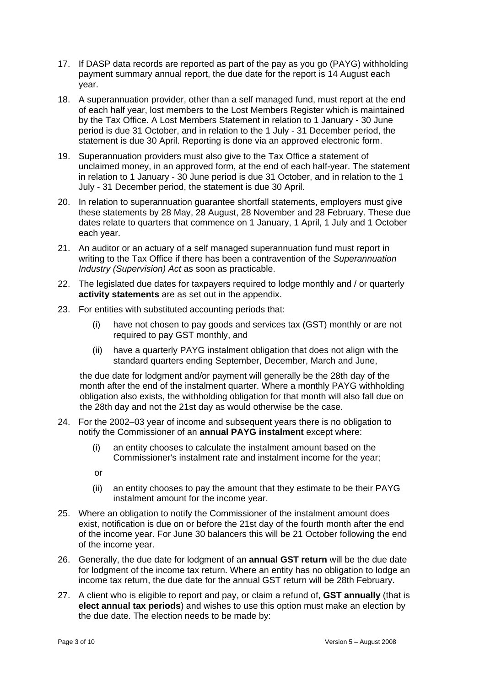- 17. If DASP data records are reported as part of the pay as you go (PAYG) withholding payment summary annual report, the due date for the report is 14 August each year.
- 18. A superannuation provider, other than a self managed fund, must report at the end of each half year, lost members to the Lost Members Register which is maintained by the Tax Office. A Lost Members Statement in relation to 1 January - 30 June period is due 31 October, and in relation to the 1 July - 31 December period, the statement is due 30 April. Reporting is done via an approved electronic form.
- 19. Superannuation providers must also give to the Tax Office a statement of unclaimed money, in an approved form, at the end of each half-year. The statement in relation to 1 January - 30 June period is due 31 October, and in relation to the 1 July - 31 December period, the statement is due 30 April.
- 20. In relation to superannuation guarantee shortfall statements, employers must give these statements by 28 May, 28 August, 28 November and 28 February. These due dates relate to quarters that commence on 1 January, 1 April, 1 July and 1 October each year.
- 21. An auditor or an actuary of a self managed superannuation fund must report in writing to the Tax Office if there has been a contravention of the *Superannuation Industry (Supervision) Act* as soon as practicable.
- 22. The legislated due dates for taxpayers required to lodge monthly and / or quarterly **activity statements** are as set out in the appendix.
- 23. For entities with substituted accounting periods that:
	- (i) have not chosen to pay goods and services tax (GST) monthly or are not required to pay GST monthly, and
	- (ii) have a quarterly PAYG instalment obligation that does not align with the standard quarters ending September, December, March and June,

the due date for lodgment and/or payment will generally be the 28th day of the month after the end of the instalment quarter. Where a monthly PAYG withholding obligation also exists, the withholding obligation for that month will also fall due on the 28th day and not the 21st day as would otherwise be the case.

- 24. For the 2002–03 year of income and subsequent years there is no obligation to notify the Commissioner of an **annual PAYG instalment** except where:
	- (i) an entity chooses to calculate the instalment amount based on the Commissioner's instalment rate and instalment income for the year;
	- or
	- (ii) an entity chooses to pay the amount that they estimate to be their PAYG instalment amount for the income year.
- 25. Where an obligation to notify the Commissioner of the instalment amount does exist, notification is due on or before the 21st day of the fourth month after the end of the income year. For June 30 balancers this will be 21 October following the end of the income year.
- 26. Generally, the due date for lodgment of an **annual GST return** will be the due date for lodgment of the income tax return. Where an entity has no obligation to lodge an income tax return, the due date for the annual GST return will be 28th February.
- 27. A client who is eligible to report and pay, or claim a refund of, **GST annually** (that is **elect annual tax periods**) and wishes to use this option must make an election by the due date. The election needs to be made by: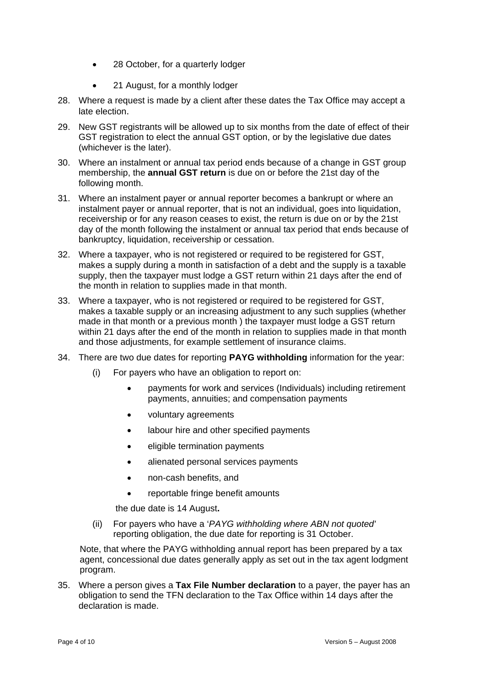- 28 October, for a quarterly lodger
- 21 August, for a monthly lodger
- 28. Where a request is made by a client after these dates the Tax Office may accept a late election.
- 29. New GST registrants will be allowed up to six months from the date of effect of their GST registration to elect the annual GST option, or by the legislative due dates (whichever is the later).
- 30. Where an instalment or annual tax period ends because of a change in GST group membership, the **annual GST return** is due on or before the 21st day of the following month.
- 31. Where an instalment payer or annual reporter becomes a bankrupt or where an instalment payer or annual reporter, that is not an individual, goes into liquidation, receivership or for any reason ceases to exist, the return is due on or by the 21st day of the month following the instalment or annual tax period that ends because of bankruptcy, liquidation, receivership or cessation.
- 32. Where a taxpayer, who is not registered or required to be registered for GST, makes a supply during a month in satisfaction of a debt and the supply is a taxable supply, then the taxpayer must lodge a GST return within 21 days after the end of the month in relation to supplies made in that month.
- 33. Where a taxpayer, who is not registered or required to be registered for GST, makes a taxable supply or an increasing adjustment to any such supplies (whether made in that month or a previous month ) the taxpayer must lodge a GST return within 21 days after the end of the month in relation to supplies made in that month and those adjustments, for example settlement of insurance claims.
- 34. There are two due dates for reporting **PAYG withholding** information for the year:
	- (i) For payers who have an obligation to report on:
		- payments for work and services (Individuals) including retirement payments, annuities; and compensation payments
		- voluntary agreements
		- labour hire and other specified payments
		- eligible termination payments
		- alienated personal services payments
		- non-cash benefits, and
		- reportable fringe benefit amounts

the due date is 14 August**.** 

(ii) For payers who have a '*PAYG withholding where ABN not quoted'* reporting obligation, the due date for reporting is 31 October.

Note, that where the PAYG withholding annual report has been prepared by a tax agent, concessional due dates generally apply as set out in the tax agent lodgment program.

35. Where a person gives a **Tax File Number declaration** to a payer, the payer has an obligation to send the TFN declaration to the Tax Office within 14 days after the declaration is made.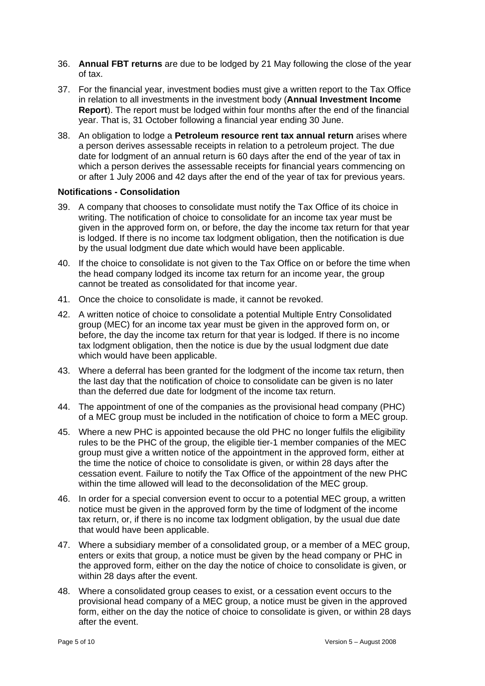- 36. **Annual FBT returns** are due to be lodged by 21 May following the close of the year of tax.
- 37. For the financial year, investment bodies must give a written report to the Tax Office in relation to all investments in the investment body (**Annual Investment Income Report**). The report must be lodged within four months after the end of the financial year. That is, 31 October following a financial year ending 30 June.
- 38. An obligation to lodge a **Petroleum resource rent tax annual return** arises where a person derives assessable receipts in relation to a petroleum project. The due date for lodgment of an annual return is 60 days after the end of the year of tax in which a person derives the assessable receipts for financial years commencing on or after 1 July 2006 and 42 days after the end of the year of tax for previous years.

#### **Notifications - Consolidation**

- 39. A company that chooses to consolidate must notify the Tax Office of its choice in writing. The notification of choice to consolidate for an income tax year must be given in the approved form on, or before, the day the income tax return for that year is lodged. If there is no income tax lodgment obligation, then the notification is due by the usual lodgment due date which would have been applicable.
- 40. If the choice to consolidate is not given to the Tax Office on or before the time when the head company lodged its income tax return for an income year, the group cannot be treated as consolidated for that income year.
- 41. Once the choice to consolidate is made, it cannot be revoked.
- 42. A written notice of choice to consolidate a potential Multiple Entry Consolidated group (MEC) for an income tax year must be given in the approved form on, or before, the day the income tax return for that year is lodged. If there is no income tax lodgment obligation, then the notice is due by the usual lodgment due date which would have been applicable.
- 43. Where a deferral has been granted for the lodgment of the income tax return, then the last day that the notification of choice to consolidate can be given is no later than the deferred due date for lodgment of the income tax return.
- 44. The appointment of one of the companies as the provisional head company (PHC) of a MEC group must be included in the notification of choice to form a MEC group.
- 45. Where a new PHC is appointed because the old PHC no longer fulfils the eligibility rules to be the PHC of the group, the eligible tier-1 member companies of the MEC group must give a written notice of the appointment in the approved form, either at the time the notice of choice to consolidate is given, or within 28 days after the cessation event. Failure to notify the Tax Office of the appointment of the new PHC within the time allowed will lead to the deconsolidation of the MEC group.
- 46. In order for a special conversion event to occur to a potential MEC group, a written notice must be given in the approved form by the time of lodgment of the income tax return, or, if there is no income tax lodgment obligation, by the usual due date that would have been applicable.
- 47. Where a subsidiary member of a consolidated group, or a member of a MEC group, enters or exits that group, a notice must be given by the head company or PHC in the approved form, either on the day the notice of choice to consolidate is given, or within 28 days after the event.
- 48. Where a consolidated group ceases to exist, or a cessation event occurs to the provisional head company of a MEC group, a notice must be given in the approved form, either on the day the notice of choice to consolidate is given, or within 28 days after the event.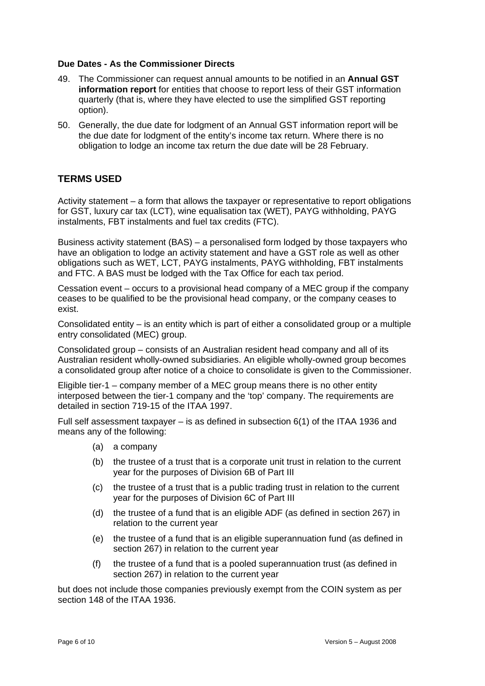#### **Due Dates - As the Commissioner Directs**

- 49. The Commissioner can request annual amounts to be notified in an **Annual GST information report** for entities that choose to report less of their GST information quarterly (that is, where they have elected to use the simplified GST reporting option).
- 50. Generally, the due date for lodgment of an Annual GST information report will be the due date for lodgment of the entity's income tax return. Where there is no obligation to lodge an income tax return the due date will be 28 February.

# **TERMS USED**

Activity statement – a form that allows the taxpayer or representative to report obligations for GST, luxury car tax (LCT), wine equalisation tax (WET), PAYG withholding, PAYG instalments, FBT instalments and fuel tax credits (FTC).

Business activity statement (BAS) – a personalised form lodged by those taxpayers who have an obligation to lodge an activity statement and have a GST role as well as other obligations such as WET, LCT, PAYG instalments, PAYG withholding, FBT instalments and FTC. A BAS must be lodged with the Tax Office for each tax period.

Cessation event – occurs to a provisional head company of a MEC group if the company ceases to be qualified to be the provisional head company, or the company ceases to exist.

Consolidated entity – is an entity which is part of either a consolidated group or a multiple entry consolidated (MEC) group.

Consolidated group – consists of an Australian resident head company and all of its Australian resident wholly-owned subsidiaries. An eligible wholly-owned group becomes a consolidated group after notice of a choice to consolidate is given to the Commissioner.

Eligible tier-1 – company member of a MEC group means there is no other entity interposed between the tier-1 company and the 'top' company. The requirements are detailed in section 719-15 of the ITAA 1997.

Full self assessment taxpayer – is as defined in subsection 6(1) of the ITAA 1936 and means any of the following:

- (a) a company
- (b) the trustee of a trust that is a corporate unit trust in relation to the current year for the purposes of Division 6B of Part III
- (c) the trustee of a trust that is a public trading trust in relation to the current year for the purposes of Division 6C of Part III
- (d) the trustee of a fund that is an eligible ADF (as defined in section 267) in relation to the current year
- (e) the trustee of a fund that is an eligible superannuation fund (as defined in section 267) in relation to the current year
- (f) the trustee of a fund that is a pooled superannuation trust (as defined in section 267) in relation to the current year

but does not include those companies previously exempt from the COIN system as per section 148 of the ITAA 1936.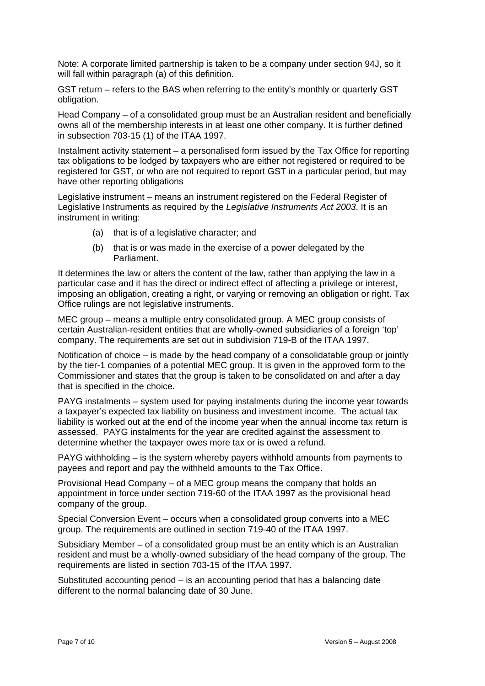Note: A corporate limited partnership is taken to be a company under section 94J, so it will fall within paragraph (a) of this definition.

GST return – refers to the BAS when referring to the entity's monthly or quarterly GST obligation.

Head Company – of a consolidated group must be an Australian resident and beneficially owns all of the membership interests in at least one other company. It is further defined in subsection 703-15 (1) of the ITAA 1997.

Instalment activity statement – a personalised form issued by the Tax Office for reporting tax obligations to be lodged by taxpayers who are either not registered or required to be registered for GST, or who are not required to report GST in a particular period, but may have other reporting obligations

Legislative instrument – means an instrument registered on the Federal Register of Legislative Instruments as required by the *Legislative Instruments Act 2003*. It is an instrument in writing:

- (a) that is of a legislative character; and
- (b) that is or was made in the exercise of a power delegated by the Parliament.

It determines the law or alters the content of the law, rather than applying the law in a particular case and it has the direct or indirect effect of affecting a privilege or interest, imposing an obligation, creating a right, or varying or removing an obligation or right. Tax Office rulings are not legislative instruments.

MEC group – means a multiple entry consolidated group. A MEC group consists of certain Australian-resident entities that are wholly-owned subsidiaries of a foreign 'top' company. The requirements are set out in subdivision 719-B of the ITAA 1997.

Notification of choice – is made by the head company of a consolidatable group or jointly by the tier-1 companies of a potential MEC group. It is given in the approved form to the Commissioner and states that the group is taken to be consolidated on and after a day that is specified in the choice.

PAYG instalments – system used for paying instalments during the income year towards a taxpayer's expected tax liability on business and investment income. The actual tax liability is worked out at the end of the income year when the annual income tax return is assessed. PAYG instalments for the year are credited against the assessment to determine whether the taxpayer owes more tax or is owed a refund.

PAYG withholding – is the system whereby payers withhold amounts from payments to payees and report and pay the withheld amounts to the Tax Office.

Provisional Head Company – of a MEC group means the company that holds an appointment in force under section 719-60 of the ITAA 1997 as the provisional head company of the group.

Special Conversion Event – occurs when a consolidated group converts into a MEC group. The requirements are outlined in section 719-40 of the ITAA 1997.

Subsidiary Member – of a consolidated group must be an entity which is an Australian resident and must be a wholly-owned subsidiary of the head company of the group. The requirements are listed in section 703-15 of the ITAA 1997.

Substituted accounting period – is an accounting period that has a balancing date different to the normal balancing date of 30 June.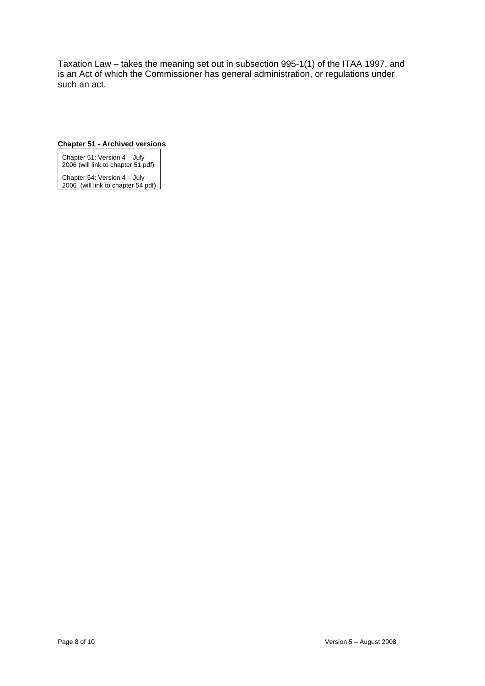Taxation Law – takes the meaning set out in subsection 995-1(1) of the ITAA 1997, and is an Act of which the Commissioner has general administration, or regulations under such an act.

#### **Chapter 51 - Archived versions**

Chapter 51: Version 4 – July 2006 (will link to chapter 51 pdf)

Chapter 54: Version 4 – July 2006 (will link to chapter 54 pdf)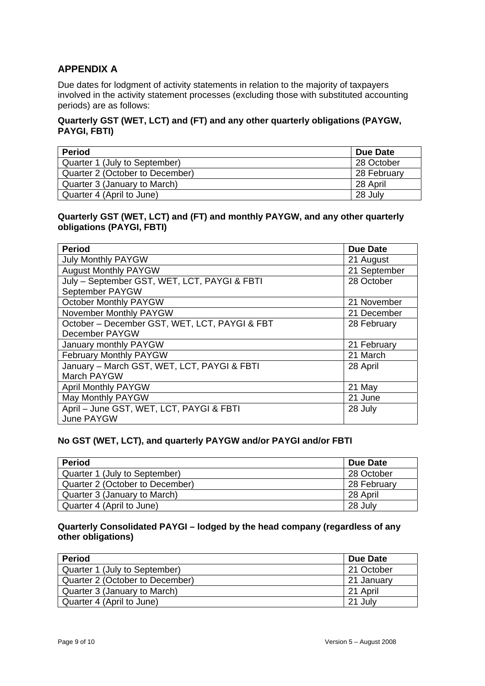# **APPENDIX A**

Due dates for lodgment of activity statements in relation to the majority of taxpayers involved in the activity statement processes (excluding those with substituted accounting periods) are as follows:

# **Quarterly GST (WET, LCT) and (FT) and any other quarterly obligations (PAYGW, PAYGI, FBTI)**

| <b>Period</b>                   | Due Date    |
|---------------------------------|-------------|
| Quarter 1 (July to September)   | 28 October  |
| Quarter 2 (October to December) | 28 February |
| Quarter 3 (January to March)    | 28 April    |
| Quarter 4 (April to June)       | 28 July     |

## **Quarterly GST (WET, LCT) and (FT) and monthly PAYGW, and any other quarterly obligations (PAYGI, FBTI)**

| <b>Period</b>                                 | <b>Due Date</b> |
|-----------------------------------------------|-----------------|
| <b>July Monthly PAYGW</b>                     | 21 August       |
| <b>August Monthly PAYGW</b>                   | 21 September    |
| July - September GST, WET, LCT, PAYGI & FBTI  | 28 October      |
| September PAYGW                               |                 |
| <b>October Monthly PAYGW</b>                  | 21 November     |
| November Monthly PAYGW                        | 21 December     |
| October - December GST, WET, LCT, PAYGI & FBT | 28 February     |
| December PAYGW                                |                 |
| January monthly PAYGW                         | 21 February     |
| February Monthly PAYGW                        | 21 March        |
| January - March GST, WET, LCT, PAYGI & FBTI   | 28 April        |
| March PAYGW                                   |                 |
| <b>April Monthly PAYGW</b>                    | 21 May          |
| May Monthly PAYGW                             | 21 June         |
| April - June GST, WET, LCT, PAYGI & FBTI      | 28 July         |
| June PAYGW                                    |                 |

## **No GST (WET, LCT), and quarterly PAYGW and/or PAYGI and/or FBTI**

| <b>Period</b>                   | Due Date    |
|---------------------------------|-------------|
| Quarter 1 (July to September)   | 28 October  |
| Quarter 2 (October to December) | 28 February |
| Quarter 3 (January to March)    | 28 April    |
| Quarter 4 (April to June)       | 28 July     |

## **Quarterly Consolidated PAYGI – lodged by the head company (regardless of any other obligations)**

| <b>Period</b>                   | Due Date   |
|---------------------------------|------------|
| Quarter 1 (July to September)   | 21 October |
| Quarter 2 (October to December) | 21 January |
| Quarter 3 (January to March)    | 21 April   |
| Quarter 4 (April to June)       | 21 July    |